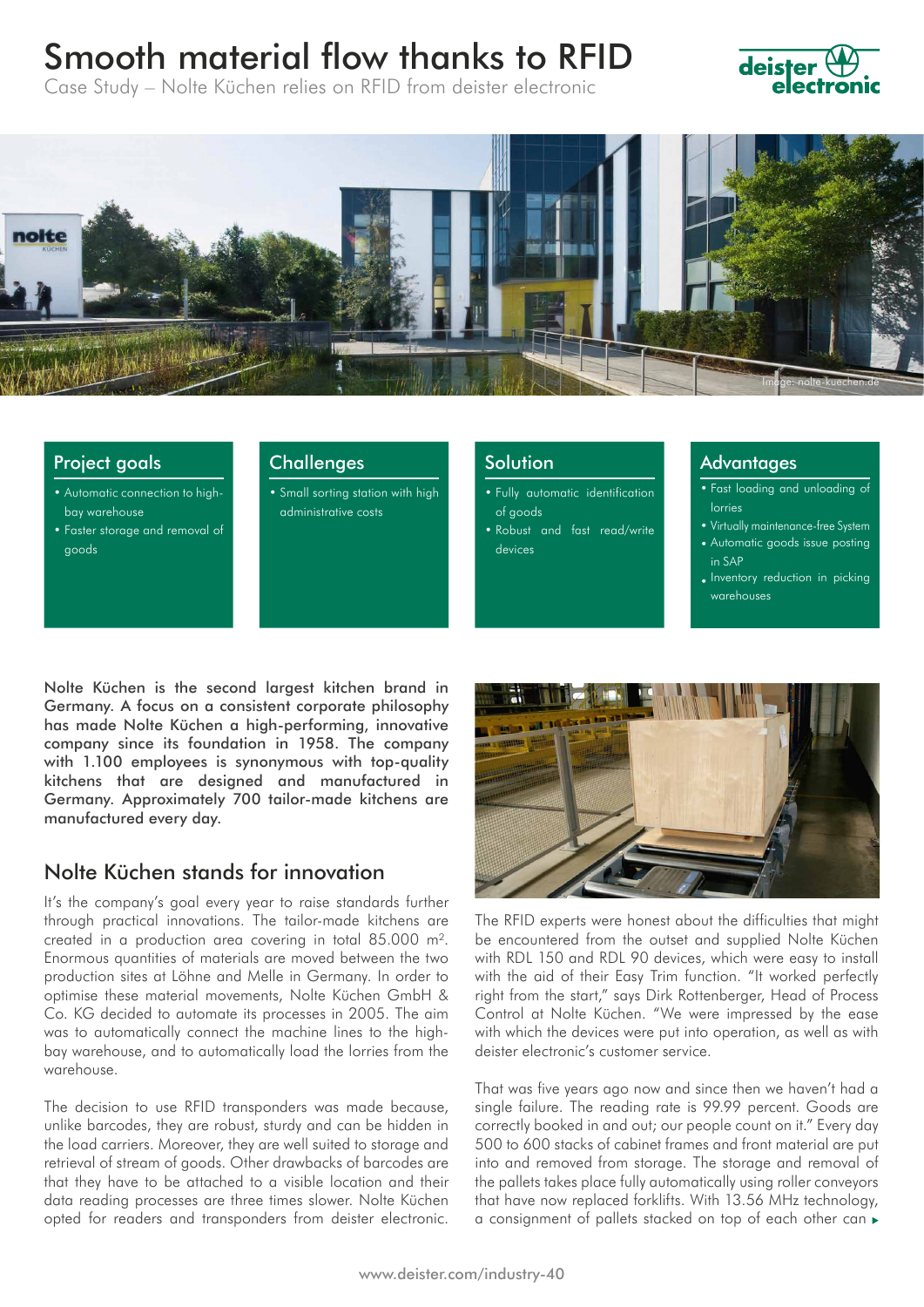# Smooth material flow thanks to RFID







#### Project goals

- Automatic connection to highbay warehouse
- Faster storage and removal of goods
- **Challenges**
- Small sorting station with high administrative costs

#### **Solution**

- Fully automatic identification of goods
- Robust and fast read/write devices

#### **Advantages**

- Fast loading and unloading of lorries
- Virtually maintenance-free System
- Automatic goods issue posting in SAP
- Inventory reduction in picking warehouses

Nolte Küchen is the second largest kitchen brand in Germany. A focus on a consistent corporate philosophy has made Nolte Küchen a high-performing, innovative company since its foundation in 1958. The company with 1.100 employees is synonymous with top-quality kitchens that are designed and manufactured in Germany. Approximately 700 tailor-made kitchens are manufactured every day.

## Nolte Küchen stands for innovation

It's the company's goal every year to raise standards further through practical innovations. The tailor-made kitchens are created in a production area covering in total 85.000 m². Enormous quantities of materials are moved between the two production sites at Löhne and Melle in Germany. In order to optimise these material movements, Nolte Küchen GmbH & Co. KG decided to automate its processes in 2005. The aim was to automatically connect the machine lines to the highbay warehouse, and to automatically load the lorries from the warehouse.

The decision to use RFID transponders was made because, unlike barcodes, they are robust, sturdy and can be hidden in the load carriers. Moreover, they are well suited to storage and retrieval of stream of goods. Other drawbacks of barcodes are that they have to be attached to a visible location and their data reading processes are three times slower. Nolte Küchen opted for readers and transponders from deister electronic.



The RFID experts were honest about the difficulties that might be encountered from the outset and supplied Nolte Küchen with RDL 150 and RDL 90 devices, which were easy to install with the aid of their Easy Trim function. "It worked perfectly right from the start," says Dirk Rottenberger, Head of Process Control at Nolte Küchen. "We were impressed by the ease with which the devices were put into operation, as well as with deister electronic's customer service.

That was five years ago now and since then we haven't had a single failure. The reading rate is 99.99 percent. Goods are correctly booked in and out; our people count on it." Every day 500 to 600 stacks of cabinet frames and front material are put into and removed from storage. The storage and removal of the pallets takes place fully automatically using roller conveyors that have now replaced forklifts. With 13.56 MHz technology, a consignment of pallets stacked on top of each other can